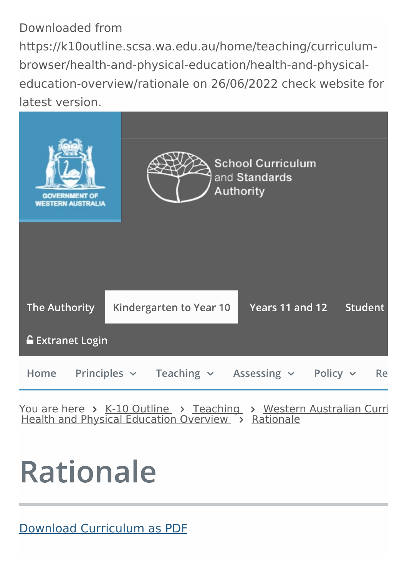#### Downloaded from https://k10outline.scsa.wa.edu.au/home/teaching/curriculumbrowser/health-and-physical-education/health-and-physicaleducation-overview/rationale on 26/06/2022 check website for latest version.



You are here > K-10 [Outline](https://k10outline.scsa.wa.edu.au/home) > [Teaching](https://k10outline.scsa.wa.edu.au/home/teaching) > Western Australian Curri Health and Physical [Education](https://k10outline.scsa.wa.edu.au/home/teaching/curriculum-browser/health-and-physical-education/health-and-physical-education-overview) Overview > [Rationale](https://k10outline.scsa.wa.edu.au/home/teaching/curriculum-browser/health-and-physical-education/health-and-physical-education-overview/rationale)

# **Rationale**

Download [Curriculum](https://k10outline.scsa.wa.edu.au/__data/print-to-pdf/api.php?url=https://k10outline.scsa.wa.edu.au/home/teaching/curriculum-browser/health-and-physical-education/health-and-physical-education-overview/rationale) as PDF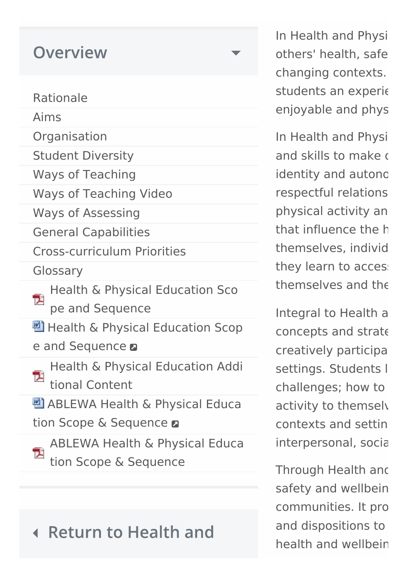| <b>Overview</b>                                                          |
|--------------------------------------------------------------------------|
| Rationale                                                                |
| Aims                                                                     |
| Organisation                                                             |
| <b>Student Diversity</b>                                                 |
| <b>Ways of Teaching</b>                                                  |
| <b>Ways of Teaching Video</b>                                            |
| <b>Ways of Assessing</b>                                                 |
| <b>General Capabilities</b>                                              |
| <b>Cross-curriculum Priorities</b>                                       |
| Glossary                                                                 |
| <b>Health &amp; Physical Education Sco</b><br>西<br>pe and Sequence       |
| 豐 Health & Physical Education Scop                                       |
| e and Sequence <b>a</b>                                                  |
| Health & Physical Education Addi<br>Ţ.<br>tional Content                 |
| 也 ABLEWA Health & Physical Educa                                         |
| tion Scope & Sequence <b>a</b>                                           |
| <b>ABLEWA Health &amp; Physical Educa</b><br>T.<br>tion Scope & Sequence |

#### **Return to Health and**

In Health and Physi others' health, safe changing contexts. students an experie enjoyable and phys

In Health and Physi and skills to make decision identity and autonc respectful relations physical activity an that influence the h themselves, individ they learn to acces: themselves and the

Integral to Health a concepts and strate creatively participa settings. Students l challenges; how to activity to themsely contexts and setting interpersonal, socia

Through Health and safety and wellbein communities. It pro and dispositions to health and wellbeing.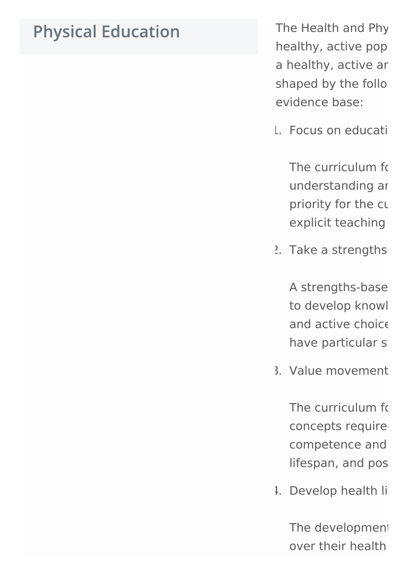### **Physical Education**

The Health and Phy healthy, active pop a healthy, active ar shaped by the follo evidence base:

1. Focus on educati

The curriculum for understanding ar priority for the cur explicit teaching

 $2.$  Take a strengths-

A strengths-base to develop knowl and active choice have particular strength

3. Value movement

The curriculum for concepts require competence and lifespan, and pos

1. Develop health li

The development over their health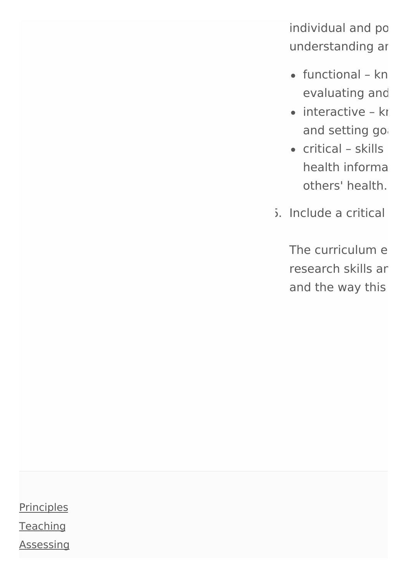individual and po understanding ar

- $\bullet$  functional kn evaluating and
- $\bullet$  interactive know and setting go
- $\bullet$  critical skills health informa others' health.
- $5.$  Include a critical

The curriculum engage research skills ar and the way this

**[Principles](https://k10outline.scsa.wa.edu.au/home/principles) [Teaching](https://k10outline.scsa.wa.edu.au/home/teaching) [Assessing](https://k10outline.scsa.wa.edu.au/home/assessment)**